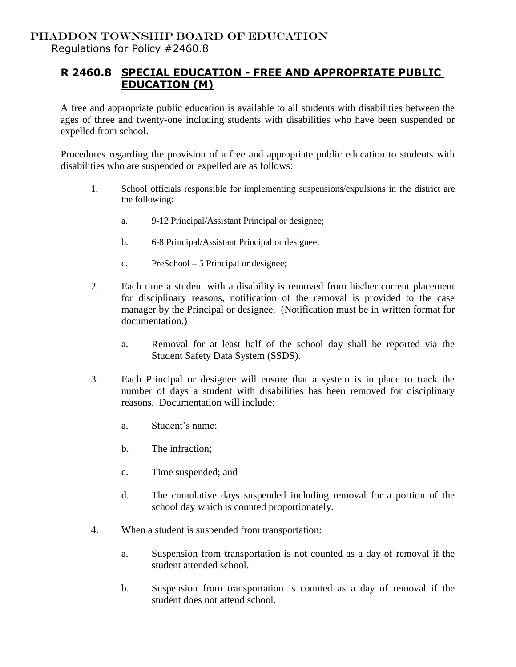## **R 2460.8 SPECIAL EDUCATION - FREE AND APPROPRIATE PUBLIC EDUCATION (M)**

A free and appropriate public education is available to all students with disabilities between the ages of three and twenty-one including students with disabilities who have been suspended or expelled from school.

Procedures regarding the provision of a free and appropriate public education to students with disabilities who are suspended or expelled are as follows:

- 1. School officials responsible for implementing suspensions/expulsions in the district are the following:
	- a. 9-12 Principal/Assistant Principal or designee;
	- b. 6-8 Principal/Assistant Principal or designee;
	- c. PreSchool 5 Principal or designee;
- 2. Each time a student with a disability is removed from his/her current placement for disciplinary reasons, notification of the removal is provided to the case manager by the Principal or designee. (Notification must be in written format for documentation.)
	- a. Removal for at least half of the school day shall be reported via the Student Safety Data System (SSDS).
- 3. Each Principal or designee will ensure that a system is in place to track the number of days a student with disabilities has been removed for disciplinary reasons. Documentation will include:
	- a. Student's name;
	- b. The infraction;
	- c. Time suspended; and
	- d. The cumulative days suspended including removal for a portion of the school day which is counted proportionately.
- 4. When a student is suspended from transportation:
	- a. Suspension from transportation is not counted as a day of removal if the student attended school.
	- b. Suspension from transportation is counted as a day of removal if the student does not attend school.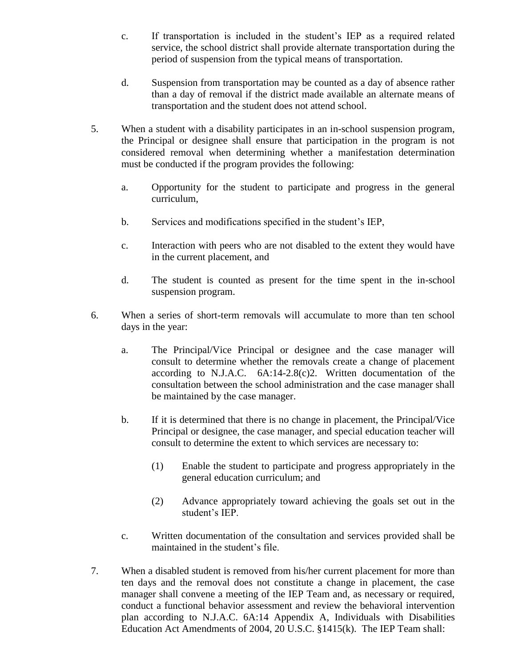- c. If transportation is included in the student's IEP as a required related service, the school district shall provide alternate transportation during the period of suspension from the typical means of transportation.
- d. Suspension from transportation may be counted as a day of absence rather than a day of removal if the district made available an alternate means of transportation and the student does not attend school.
- 5. When a student with a disability participates in an in-school suspension program, the Principal or designee shall ensure that participation in the program is not considered removal when determining whether a manifestation determination must be conducted if the program provides the following:
	- a. Opportunity for the student to participate and progress in the general curriculum,
	- b. Services and modifications specified in the student's IEP,
	- c. Interaction with peers who are not disabled to the extent they would have in the current placement, and
	- d. The student is counted as present for the time spent in the in-school suspension program.
- 6. When a series of short-term removals will accumulate to more than ten school days in the year:
	- a. The Principal/Vice Principal or designee and the case manager will consult to determine whether the removals create a change of placement according to N.J.A.C. 6A:14-2.8(c)2. Written documentation of the consultation between the school administration and the case manager shall be maintained by the case manager.
	- b. If it is determined that there is no change in placement, the Principal/Vice Principal or designee, the case manager, and special education teacher will consult to determine the extent to which services are necessary to:
		- (1) Enable the student to participate and progress appropriately in the general education curriculum; and
		- (2) Advance appropriately toward achieving the goals set out in the student's IEP.
	- c. Written documentation of the consultation and services provided shall be maintained in the student's file.
- 7. When a disabled student is removed from his/her current placement for more than ten days and the removal does not constitute a change in placement, the case manager shall convene a meeting of the IEP Team and, as necessary or required, conduct a functional behavior assessment and review the behavioral intervention plan according to N.J.A.C. 6A:14 Appendix A, Individuals with Disabilities Education Act Amendments of 2004, 20 U.S.C. §1415(k). The IEP Team shall: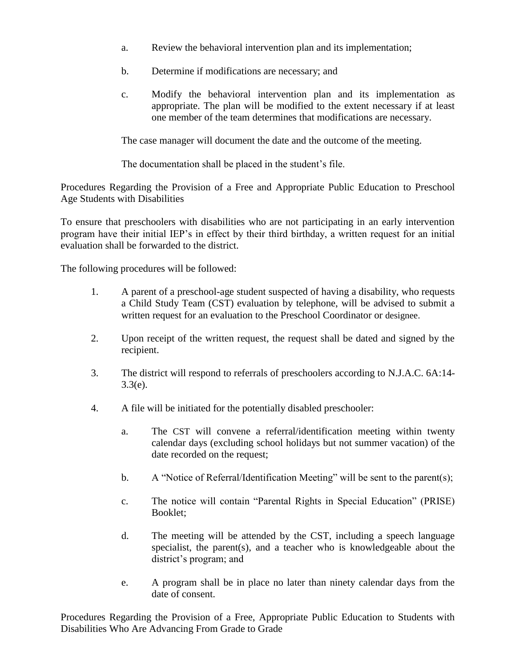- a. Review the behavioral intervention plan and its implementation;
- b. Determine if modifications are necessary; and
- c. Modify the behavioral intervention plan and its implementation as appropriate. The plan will be modified to the extent necessary if at least one member of the team determines that modifications are necessary.

The case manager will document the date and the outcome of the meeting.

The documentation shall be placed in the student's file.

Procedures Regarding the Provision of a Free and Appropriate Public Education to Preschool Age Students with Disabilities

To ensure that preschoolers with disabilities who are not participating in an early intervention program have their initial IEP's in effect by their third birthday, a written request for an initial evaluation shall be forwarded to the district.

The following procedures will be followed:

- 1. A parent of a preschool-age student suspected of having a disability, who requests a Child Study Team (CST) evaluation by telephone, will be advised to submit a written request for an evaluation to the Preschool Coordinator or designee.
- 2. Upon receipt of the written request, the request shall be dated and signed by the recipient.
- 3. The district will respond to referrals of preschoolers according to N.J.A.C. 6A:14-  $3.3(e)$ .
- 4. A file will be initiated for the potentially disabled preschooler:
	- a. The CST will convene a referral/identification meeting within twenty calendar days (excluding school holidays but not summer vacation) of the date recorded on the request;
	- b. A "Notice of Referral/Identification Meeting" will be sent to the parent(s);
	- c. The notice will contain "Parental Rights in Special Education" (PRISE) Booklet;
	- d. The meeting will be attended by the CST, including a speech language specialist, the parent(s), and a teacher who is knowledgeable about the district's program; and
	- e. A program shall be in place no later than ninety calendar days from the date of consent.

Procedures Regarding the Provision of a Free, Appropriate Public Education to Students with Disabilities Who Are Advancing From Grade to Grade